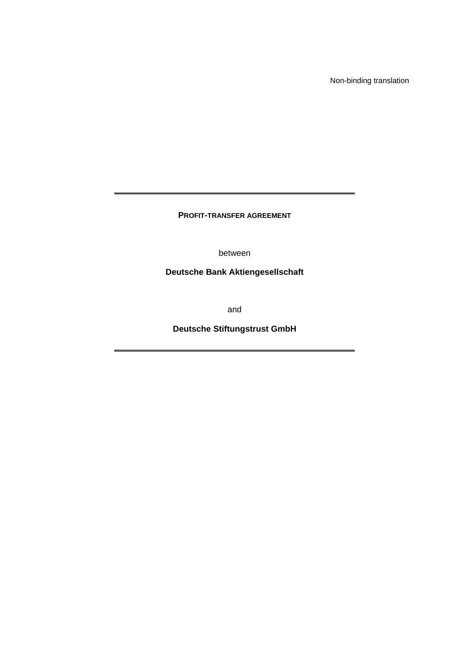Non-binding translation

**PROFIT-TRANSFER AGREEMENT** 

between

**Deutsche Bank Aktiengesellschaft** 

and

**Deutsche Stiftungstrust GmbH**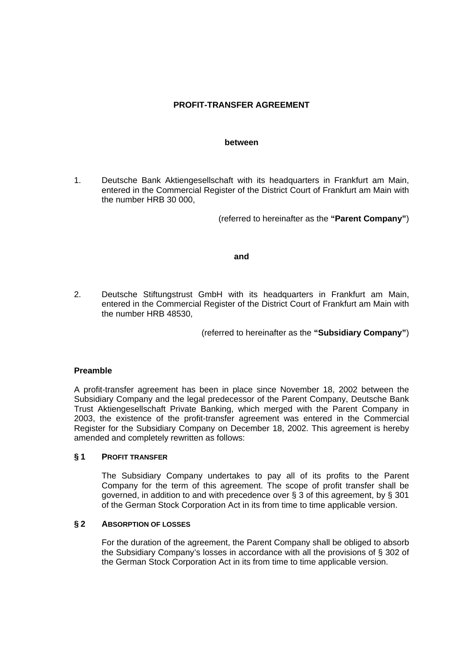# **PROFIT-TRANSFER AGREEMENT**

#### **between**

1. Deutsche Bank Aktiengesellschaft with its headquarters in Frankfurt am Main, entered in the Commercial Register of the District Court of Frankfurt am Main with the number HRB 30 000,

(referred to hereinafter as the **"Parent Company"**)

### **and**

2. Deutsche Stiftungstrust GmbH with its headquarters in Frankfurt am Main, entered in the Commercial Register of the District Court of Frankfurt am Main with the number HRB 48530,

(referred to hereinafter as the **"Subsidiary Company"**)

## **Preamble**

A profit-transfer agreement has been in place since November 18, 2002 between the Subsidiary Company and the legal predecessor of the Parent Company, Deutsche Bank Trust Aktiengesellschaft Private Banking, which merged with the Parent Company in 2003, the existence of the profit-transfer agreement was entered in the Commercial Register for the Subsidiary Company on December 18, 2002. This agreement is hereby amended and completely rewritten as follows:

### **§ 1 PROFIT TRANSFER**

 The Subsidiary Company undertakes to pay all of its profits to the Parent Company for the term of this agreement. The scope of profit transfer shall be governed, in addition to and with precedence over § 3 of this agreement, by § 301 of the German Stock Corporation Act in its from time to time applicable version.

### **§ 2 ABSORPTION OF LOSSES**

 For the duration of the agreement, the Parent Company shall be obliged to absorb the Subsidiary Company's losses in accordance with all the provisions of § 302 of the German Stock Corporation Act in its from time to time applicable version.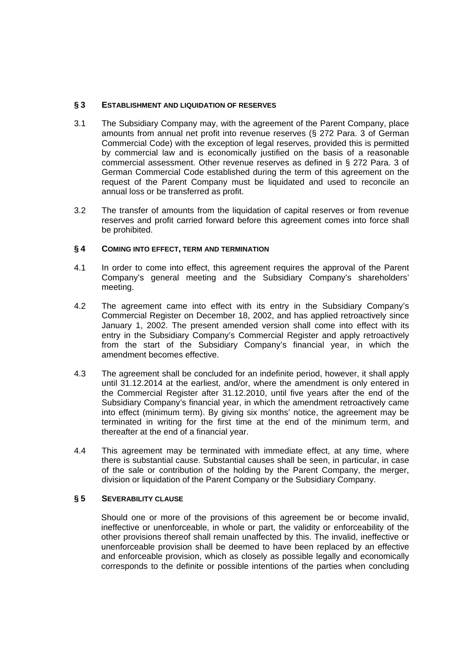## **§ 3 ESTABLISHMENT AND LIQUIDATION OF RESERVES**

- 3.1 The Subsidiary Company may, with the agreement of the Parent Company, place amounts from annual net profit into revenue reserves (§ 272 Para. 3 of German Commercial Code) with the exception of legal reserves, provided this is permitted by commercial law and is economically justified on the basis of a reasonable commercial assessment. Other revenue reserves as defined in § 272 Para. 3 of German Commercial Code established during the term of this agreement on the request of the Parent Company must be liquidated and used to reconcile an annual loss or be transferred as profit.
- 3.2 The transfer of amounts from the liquidation of capital reserves or from revenue reserves and profit carried forward before this agreement comes into force shall be prohibited.

## **§ 4 COMING INTO EFFECT, TERM AND TERMINATION**

- 4.1 In order to come into effect, this agreement requires the approval of the Parent Company's general meeting and the Subsidiary Company's shareholders' meeting.
- 4.2 The agreement came into effect with its entry in the Subsidiary Company's Commercial Register on December 18, 2002, and has applied retroactively since January 1, 2002. The present amended version shall come into effect with its entry in the Subsidiary Company's Commercial Register and apply retroactively from the start of the Subsidiary Company's financial year, in which the amendment becomes effective.
- 4.3 The agreement shall be concluded for an indefinite period, however, it shall apply until 31.12.2014 at the earliest, and/or, where the amendment is only entered in the Commercial Register after 31.12.2010, until five years after the end of the Subsidiary Company's financial year, in which the amendment retroactively came into effect (minimum term). By giving six months' notice, the agreement may be terminated in writing for the first time at the end of the minimum term, and thereafter at the end of a financial year.
- 4.4 This agreement may be terminated with immediate effect, at any time, where there is substantial cause. Substantial causes shall be seen, in particular, in case of the sale or contribution of the holding by the Parent Company, the merger, division or liquidation of the Parent Company or the Subsidiary Company.

## **§ 5 SEVERABILITY CLAUSE**

Should one or more of the provisions of this agreement be or become invalid, ineffective or unenforceable, in whole or part, the validity or enforceability of the other provisions thereof shall remain unaffected by this. The invalid, ineffective or unenforceable provision shall be deemed to have been replaced by an effective and enforceable provision, which as closely as possible legally and economically corresponds to the definite or possible intentions of the parties when concluding